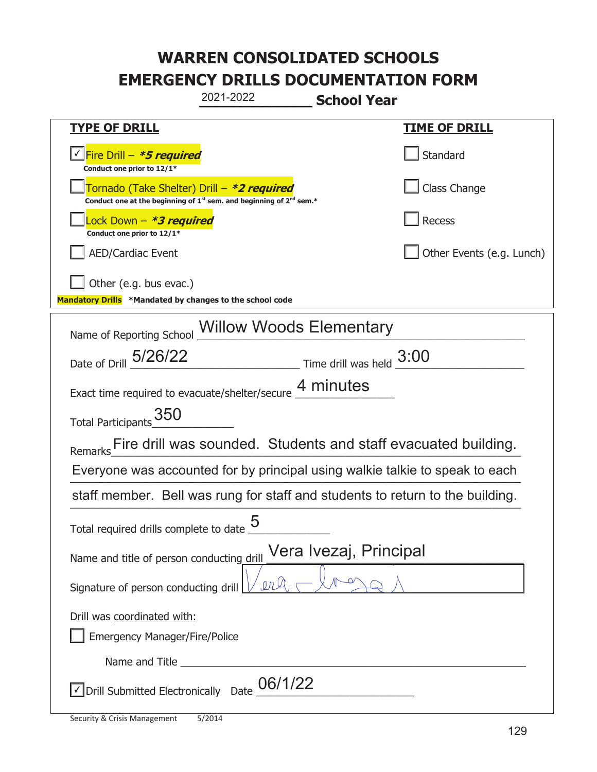|                                                                                    | 2021-2022                                                                                   | <b>School Year</b>                                                                                                                                                                                                                                                                                                                            |
|------------------------------------------------------------------------------------|---------------------------------------------------------------------------------------------|-----------------------------------------------------------------------------------------------------------------------------------------------------------------------------------------------------------------------------------------------------------------------------------------------------------------------------------------------|
| <b>TYPE OF DRILL</b>                                                               |                                                                                             | <u>TIME OF DRILL</u>                                                                                                                                                                                                                                                                                                                          |
| Fire Drill - *5 required<br>Conduct one prior to 12/1*                             |                                                                                             | Standard                                                                                                                                                                                                                                                                                                                                      |
| Tornado (Take Shelter) Drill – *2 required                                         | Conduct one at the beginning of 1 <sup>st</sup> sem. and beginning of 2 <sup>nd</sup> sem.* | Class Change                                                                                                                                                                                                                                                                                                                                  |
| Lock Down – <b>*<i>3 required</i></b><br>Conduct one prior to 12/1*                |                                                                                             | Recess                                                                                                                                                                                                                                                                                                                                        |
| <b>AED/Cardiac Event</b>                                                           |                                                                                             | Other Events (e.g. Lunch)                                                                                                                                                                                                                                                                                                                     |
| Other (e.g. bus evac.)<br>Mandatory Drills *Mandated by changes to the school code |                                                                                             |                                                                                                                                                                                                                                                                                                                                               |
| Name of Reporting School Willow Woods Elementary                                   |                                                                                             |                                                                                                                                                                                                                                                                                                                                               |
| Date of Drill 5/26/22                                                              |                                                                                             | $\frac{3:00}{\frac{3:00}{\frac{3:00}{\frac{3:00}{\frac{3:00}{\frac{3:00}{\frac{3:00}{\frac{3:00}{\frac{3:00}{\frac{3:00}{\frac{3:00}{\frac{3:00}{\frac{3:00}{\frac{3:00}{\frac{3:00}{\frac{3:00}{\frac{3:00}{\frac{3:00}{\frac{3:00}{\frac{3:00}{\frac{3:00}{\frac{3:00}{\frac{3:00}{\frac{3:00}{\frac{3:00}{\frac{3:00}{\frac{3:00}{\frac{3$ |
| Exact time required to evacuate/shelter/secure 4 minutes                           |                                                                                             |                                                                                                                                                                                                                                                                                                                                               |
| Total Participants_350                                                             |                                                                                             |                                                                                                                                                                                                                                                                                                                                               |
|                                                                                    |                                                                                             | Remarks___ Fire drill was sounded. Students and staff evacuated building.                                                                                                                                                                                                                                                                     |
| Everyone was accounted for by principal using walkie talkie to speak to each       |                                                                                             |                                                                                                                                                                                                                                                                                                                                               |
|                                                                                    |                                                                                             | staff member. Bell was rung for staff and students to return to the building.                                                                                                                                                                                                                                                                 |
| Total required drills complete to date $\underline{\mathsf{5}}$                    |                                                                                             |                                                                                                                                                                                                                                                                                                                                               |
| Vera Ivezaj, Principal<br>Name and title of person conducting drill                |                                                                                             |                                                                                                                                                                                                                                                                                                                                               |
| Signature of person conducting drill                                               | $\rho_R \mathcal{Q}$                                                                        |                                                                                                                                                                                                                                                                                                                                               |
| Drill was coordinated with:<br><b>Emergency Manager/Fire/Police</b>                |                                                                                             |                                                                                                                                                                                                                                                                                                                                               |
|                                                                                    |                                                                                             |                                                                                                                                                                                                                                                                                                                                               |
| Drill Submitted Electronically Date                                                | 06/1/22                                                                                     |                                                                                                                                                                                                                                                                                                                                               |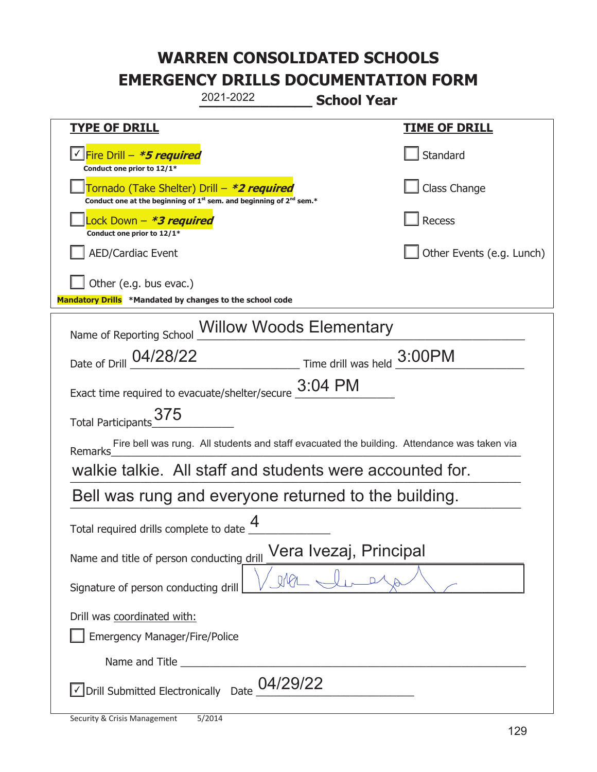| 2021-2022<br><b>School Year</b>                                                                                                           |                           |  |
|-------------------------------------------------------------------------------------------------------------------------------------------|---------------------------|--|
| <b>TYPE OF DRILL</b>                                                                                                                      | <u>TIME OF DRILL</u>      |  |
| √Fire Drill – <i>*<b>5 required</b></i><br>Conduct one prior to 12/1*                                                                     | Standard                  |  |
| Tornado (Take Shelter) Drill – *2 required<br>Conduct one at the beginning of 1 <sup>st</sup> sem. and beginning of 2 <sup>nd</sup> sem.* | Class Change              |  |
| Lock Down – <b>*<i>3 required</i></b><br>Conduct one prior to 12/1*                                                                       | Recess                    |  |
| <b>AED/Cardiac Event</b>                                                                                                                  | Other Events (e.g. Lunch) |  |
| Other (e.g. bus evac.)<br>Mandatory Drills *Mandated by changes to the school code                                                        |                           |  |
| Name of Reporting School Willow Woods Elementary                                                                                          |                           |  |
| Date of Drill 04/28/22 Time drill was held 3:00PM                                                                                         |                           |  |
| Exact time required to evacuate/shelter/secure 3:04 PM                                                                                    |                           |  |
| Total Participants 375                                                                                                                    |                           |  |
| Fire bell was rung. All students and staff evacuated the building. Attendance was taken via<br><b>Remarks</b>                             |                           |  |
| walkie talkie. All staff and students were accounted for.                                                                                 |                           |  |
| Bell was rung and everyone returned to the building.                                                                                      |                           |  |
| Δ<br>Total required drills complete to date                                                                                               |                           |  |
| Vera Ivezaj, Principal<br>Name and title of person conducting drill                                                                       |                           |  |
| Signature of person conducting drill                                                                                                      |                           |  |
| Drill was coordinated with:<br><b>Emergency Manager/Fire/Police</b>                                                                       |                           |  |
|                                                                                                                                           |                           |  |
| 04/29/22<br>Drill Submitted Electronically Date                                                                                           |                           |  |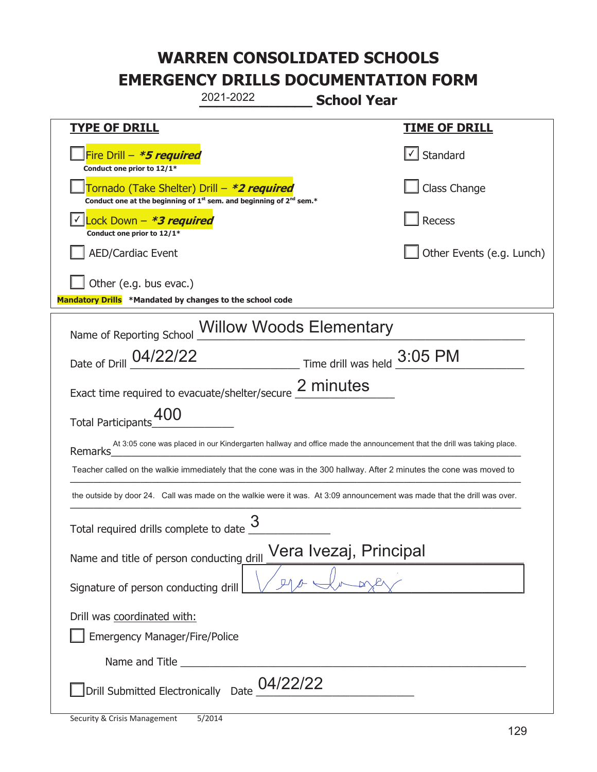| 2021-2022<br><b>School Year</b>                                                                                                           |                           |  |
|-------------------------------------------------------------------------------------------------------------------------------------------|---------------------------|--|
| <b>TYPE OF DRILL</b>                                                                                                                      | <b>TIME OF DRILL</b>      |  |
| Fire Drill $-$ <i>*5 required</i><br>Conduct one prior to 12/1*                                                                           | $\lfloor$ Standard        |  |
| Tornado (Take Shelter) Drill – *2 required<br>Conduct one at the beginning of 1 <sup>st</sup> sem. and beginning of 2 <sup>nd</sup> sem.* | Class Change              |  |
| Lock Down - *3 required<br>Conduct one prior to 12/1*                                                                                     | Recess                    |  |
| <b>AED/Cardiac Event</b>                                                                                                                  | Other Events (e.g. Lunch) |  |
| Other (e.g. bus evac.)<br>Mandatory Drills *Mandated by changes to the school code                                                        |                           |  |
| Name of Reporting School Willow Woods Elementary                                                                                          |                           |  |
| Date of Drill 04/22/22 Time drill was held 3:05 PM                                                                                        |                           |  |
| Exact time required to evacuate/shelter/secure 2 minutes                                                                                  |                           |  |
| Total Participants_400                                                                                                                    |                           |  |
| At 3:05 cone was placed in our Kindergarten hallway and office made the announcement that the drill was taking place.<br>Remarks          |                           |  |
| Teacher called on the walkie immediately that the cone was in the 300 hallway. After 2 minutes the cone was moved to                      |                           |  |
| the outside by door 24. Call was made on the walkie were it was. At 3:09 announcement was made that the drill was over.                   |                           |  |
| 3<br>Total required drills complete to date                                                                                               |                           |  |
| Vera Ivezaj, Principal<br>Name and title of person conducting drill                                                                       |                           |  |
| Signature of person conducting drill                                                                                                      |                           |  |
| Drill was coordinated with:                                                                                                               |                           |  |
| <b>Emergency Manager/Fire/Police</b>                                                                                                      |                           |  |
|                                                                                                                                           |                           |  |
| $\,$ Drill Submitted Electronically $\,$ Date $\,$ $\! 04/22/22$                                                                          |                           |  |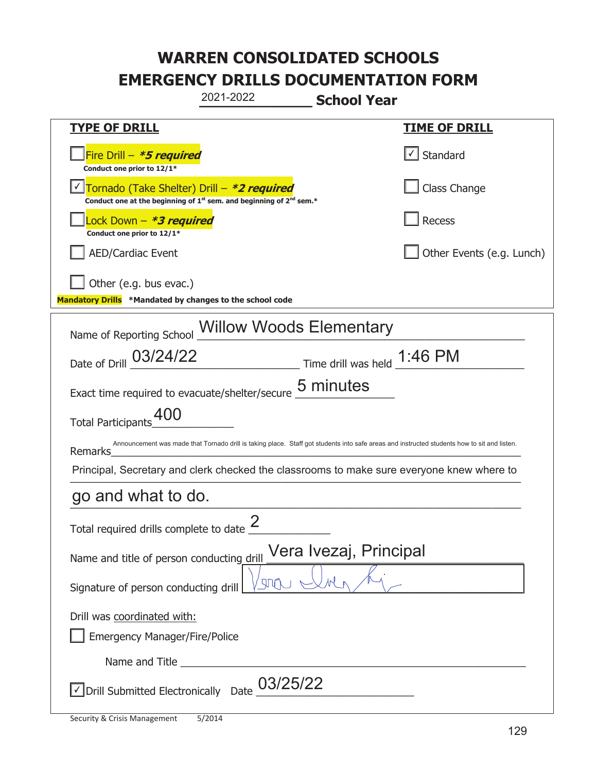| 2021-2022<br><b>School Year</b>                                                                                                                        |                                       |  |
|--------------------------------------------------------------------------------------------------------------------------------------------------------|---------------------------------------|--|
| <b>TYPE OF DRILL</b>                                                                                                                                   | <u>TIME OF DRILL</u>                  |  |
| Fire Drill $-$ <i>*5 required</i><br>Conduct one prior to 12/1*                                                                                        | $\lfloor \checkmark \rfloor$ Standard |  |
| Tornado (Take Shelter) Drill – *2 required<br>Conduct one at the beginning of 1 <sup>st</sup> sem. and beginning of 2 <sup>nd</sup> sem.*              | Class Change                          |  |
| ock Down – <b>*3 required</b><br>Conduct one prior to 12/1*                                                                                            | Recess                                |  |
| <b>AED/Cardiac Event</b>                                                                                                                               | Other Events (e.g. Lunch)             |  |
| Other (e.g. bus evac.)<br>Mandatory Drills *Mandated by changes to the school code                                                                     |                                       |  |
| Name of Reporting School Willow Woods Elementary                                                                                                       |                                       |  |
| Time drill was held 1:46 PM<br>Date of Drill 03/24/22                                                                                                  |                                       |  |
| Exact time required to evacuate/shelter/secure 5 minutes                                                                                               |                                       |  |
| Total Participants <sup>400</sup>                                                                                                                      |                                       |  |
| Announcement was made that Tornado drill is taking place. Staff got students into safe areas and instructed students how to sit and listen.<br>Remarks |                                       |  |
| Principal, Secretary and clerk checked the classrooms to make sure everyone knew where to                                                              |                                       |  |
| go and what to do.                                                                                                                                     |                                       |  |
| Total required drills complete to date $\frac{2}{3}$                                                                                                   |                                       |  |
| Vera Ivezaj, Principal<br>Name and title of person conducting drill                                                                                    |                                       |  |
| $\mathbb{C} \backslash \mathbb{C}$<br>Signature of person conducting drill                                                                             |                                       |  |
| Drill was coordinated with:                                                                                                                            |                                       |  |
| <b>Emergency Manager/Fire/Police</b>                                                                                                                   |                                       |  |
|                                                                                                                                                        |                                       |  |
| $\vee$ Drill Submitted Electronically Date $03/25/22$                                                                                                  |                                       |  |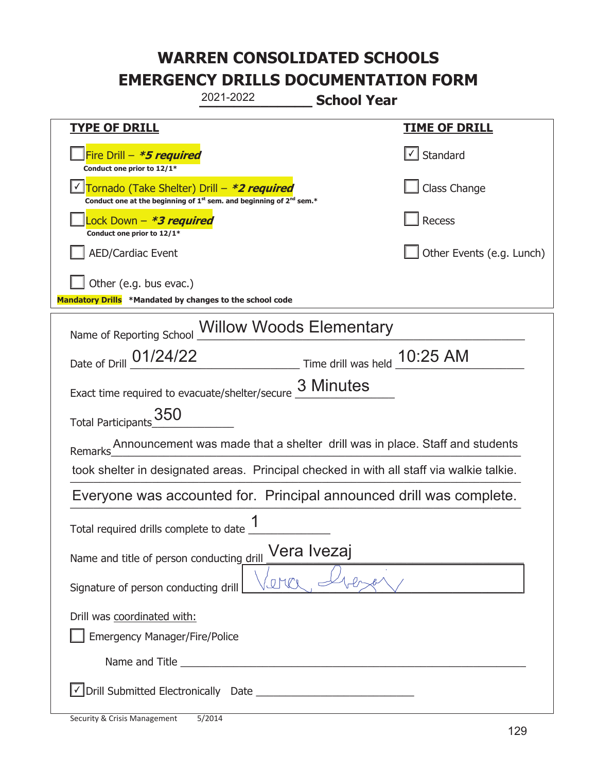| 2021-2022<br><b>School Year</b>                                                                                                           |                           |  |
|-------------------------------------------------------------------------------------------------------------------------------------------|---------------------------|--|
| <b>TYPE OF DRILL</b>                                                                                                                      | <u>TIME OF DRILL</u>      |  |
| Fire Drill $-$ *5 required<br>Conduct one prior to 12/1*                                                                                  | √ Standard                |  |
| Tornado (Take Shelter) Drill - *2 required<br>Conduct one at the beginning of 1 <sup>st</sup> sem. and beginning of 2 <sup>nd</sup> sem.* | Class Change              |  |
| Lock Down – <b>*<i>3 required</i></b><br>Conduct one prior to 12/1*                                                                       | Recess                    |  |
| <b>AED/Cardiac Event</b>                                                                                                                  | Other Events (e.g. Lunch) |  |
| Other (e.g. bus evac.)<br>Mandatory Drills *Mandated by changes to the school code                                                        |                           |  |
| Name of Reporting School Willow Woods Elementary                                                                                          |                           |  |
| Date of Drill 01/24/22<br>Time drill was held 10:25 AM                                                                                    |                           |  |
| Exact time required to evacuate/shelter/secure 3 Minutes                                                                                  |                           |  |
| Total Participants_350                                                                                                                    |                           |  |
| Announcement was made that a shelter drill was in place. Staff and students<br>Remarks                                                    |                           |  |
| took shelter in designated areas. Principal checked in with all staff via walkie talkie.                                                  |                           |  |
| Everyone was accounted for. Principal announced drill was complete.                                                                       |                           |  |
| 1<br>Total required drills complete to date                                                                                               |                           |  |
| Vera Ivezaj<br>Name and title of person conducting drill                                                                                  |                           |  |
| Signature of person conducting drill                                                                                                      |                           |  |
| Drill was coordinated with:                                                                                                               |                           |  |
| <b>Emergency Manager/Fire/Police</b>                                                                                                      |                           |  |
|                                                                                                                                           |                           |  |
|                                                                                                                                           |                           |  |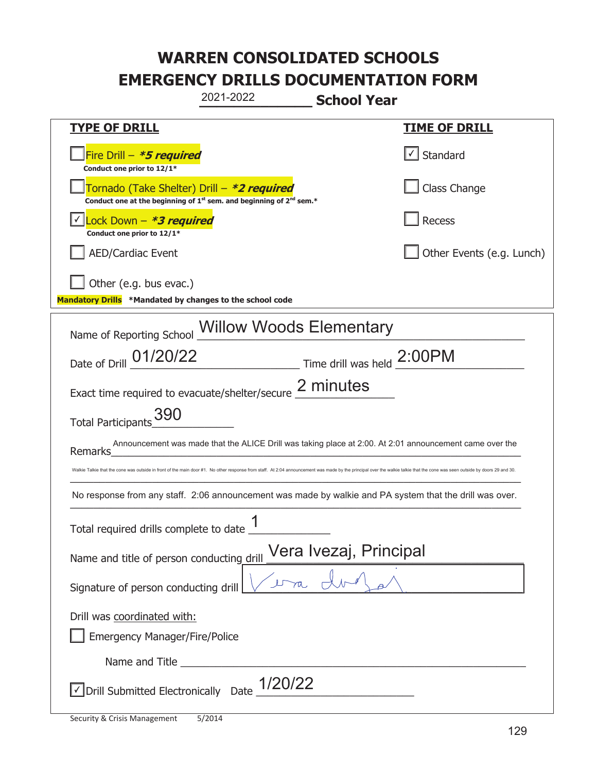| 2021-2022<br><b>School Year</b>                                                                                                                                                                                              |                                   |  |
|------------------------------------------------------------------------------------------------------------------------------------------------------------------------------------------------------------------------------|-----------------------------------|--|
| <b>TYPE OF DRILL</b>                                                                                                                                                                                                         | <b>TIME OF DRILL</b>              |  |
| Fire Drill - *5 required<br>Conduct one prior to 12/1*                                                                                                                                                                       | $\lfloor \angle \rfloor$ Standard |  |
| Tornado (Take Shelter) Drill – *2 required<br>Conduct one at the beginning of 1 <sup>st</sup> sem. and beginning of 2 <sup>nd</sup> sem.*                                                                                    | Class Change                      |  |
| Lock Down - *3 required<br>Conduct one prior to 12/1*                                                                                                                                                                        | Recess                            |  |
| <b>AED/Cardiac Event</b>                                                                                                                                                                                                     | Other Events (e.g. Lunch)         |  |
| Other (e.g. bus evac.)<br>Mandatory Drills *Mandated by changes to the school code                                                                                                                                           |                                   |  |
| Name of Reporting School Millow Woods Elementary                                                                                                                                                                             |                                   |  |
| Date of Drill _01/20/22<br>$\frac{1}{2}$ Time drill was held $\frac{2:00PM}{2}$                                                                                                                                              |                                   |  |
| Exact time required to evacuate/shelter/secure 2 minutes                                                                                                                                                                     |                                   |  |
| Total Participants_390                                                                                                                                                                                                       |                                   |  |
| Announcement was made that the ALICE Drill was taking place at 2:00. At 2:01 announcement came over the<br>Remarks                                                                                                           |                                   |  |
| Walkie Talkie that the cone was outside in front of the main door #1. No other response from staff. At 2:04 announcement was made by the principal over the walkie talkie that the cone was seen outside by doors 29 and 30. |                                   |  |
| No response from any staff. 2:06 announcement was made by walkie and PA system that the drill was over.                                                                                                                      |                                   |  |
| 1<br>Total required drills complete to date                                                                                                                                                                                  |                                   |  |
| Vera Ivezaj, Principal<br>Name and title of person conducting drill                                                                                                                                                          |                                   |  |
| Signature of person conducting drill                                                                                                                                                                                         |                                   |  |
| Drill was coordinated with:<br><b>Emergency Manager/Fire/Police</b>                                                                                                                                                          |                                   |  |
|                                                                                                                                                                                                                              |                                   |  |
|                                                                                                                                                                                                                              |                                   |  |
| $\vee$ Drill Submitted Electronically Date $1/20/22$                                                                                                                                                                         |                                   |  |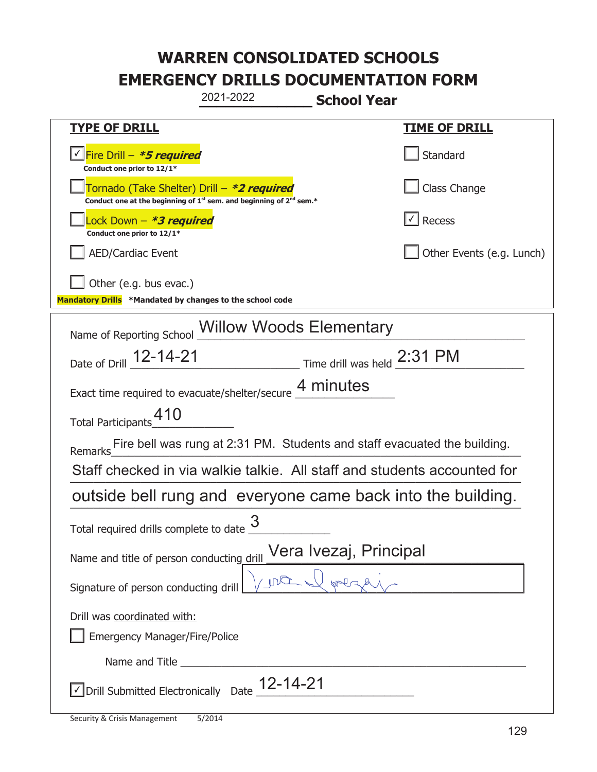| 2021-2022<br><b>School Year</b>                                                                                             |                           |
|-----------------------------------------------------------------------------------------------------------------------------|---------------------------|
| <b>TYPE OF DRILL</b>                                                                                                        | <b>TIME OF DRILL</b>      |
| <u>√ Fire Drill – <i>*5 required</i></u><br>Conduct one prior to 12/1*                                                      | Standard                  |
| Tornado (Take Shelter) Drill – *2 required<br>Conduct one at the beginning of $1^{st}$ sem. and beginning of $2^{nd}$ sem.* | Class Change              |
| Lock Down – <b>*<i>3 required</i></b><br>Conduct one prior to 12/1*                                                         | $\vert\vert$ Recess       |
| <b>AED/Cardiac Event</b>                                                                                                    | Other Events (e.g. Lunch) |
| Other (e.g. bus evac.)<br>Mandatory Drills *Mandated by changes to the school code                                          |                           |
| Name of Reporting School Willow Woods Elementary                                                                            |                           |
| Date of Drill 12-14-21 Time drill was held 2:31 PM                                                                          |                           |
| Exact time required to evacuate/shelter/secure 4 minutes                                                                    |                           |
| Total Participants_10                                                                                                       |                           |
| Fire bell was rung at 2:31 PM. Students and staff evacuated the building.<br>Remarks                                        |                           |
| Staff checked in via walkie talkie. All staff and students accounted for                                                    |                           |
| outside bell rung and everyone came back into the building.                                                                 |                           |
| 3<br>Total required drills complete to date                                                                                 |                           |
| Vera Ivezaj, Principal<br>Name and title of person conducting drill                                                         |                           |
| Signature of person conducting drill                                                                                        |                           |
| Drill was coordinated with:<br><b>Emergency Manager/Fire/Police</b>                                                         |                           |
|                                                                                                                             |                           |
| $\sqrt{\phantom{a}}$ Drill Submitted Electronically Date $\phantom{a}$ 12-14-21                                             |                           |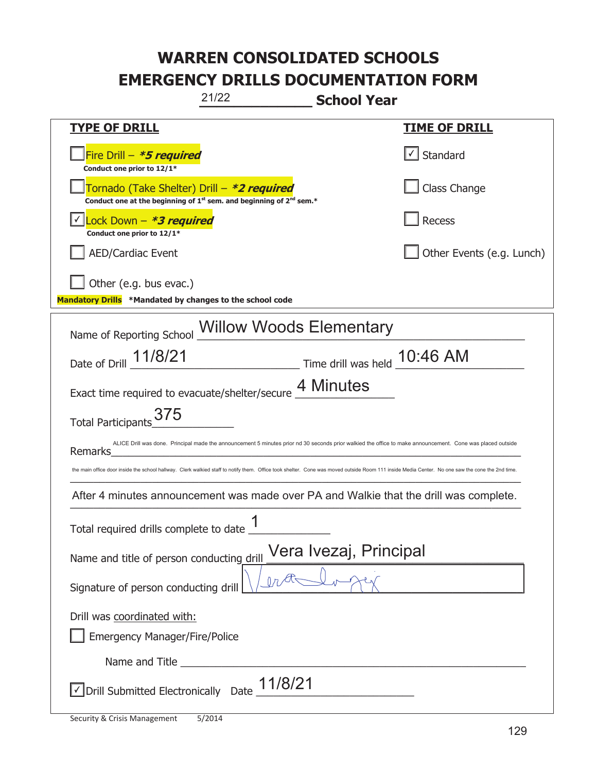| 21/22<br><b>School Year</b>                                                                                                                                                                    |                           |  |
|------------------------------------------------------------------------------------------------------------------------------------------------------------------------------------------------|---------------------------|--|
| <b>TYPE OF DRILL</b>                                                                                                                                                                           | <u>TIME OF DRILL</u>      |  |
| Fire Drill - <b>*5 required</b><br>Conduct one prior to 12/1*                                                                                                                                  | $\cup$ Standard           |  |
| Tornado (Take Shelter) Drill – *2 required<br>Conduct one at the beginning of $1^{st}$ sem. and beginning of $2^{nd}$ sem.*                                                                    | Class Change              |  |
| Lock Down - *3 required<br>Conduct one prior to 12/1*                                                                                                                                          | Recess                    |  |
| <b>AED/Cardiac Event</b>                                                                                                                                                                       | Other Events (e.g. Lunch) |  |
| Other (e.g. bus evac.)<br>Mandatory Drills *Mandated by changes to the school code                                                                                                             |                           |  |
| Name of Reporting School Willow Woods Elementary                                                                                                                                               |                           |  |
| Date of Drill 11/8/21<br>$\frac{10:46 \text{ AM}}{1}$ Time drill was held $\frac{10:46 \text{ AM}}{1}$                                                                                         |                           |  |
| Exact time required to evacuate/shelter/secure 4 Minutes                                                                                                                                       |                           |  |
| Total Participants 375                                                                                                                                                                         |                           |  |
| ALICE Drill was done. Principal made the announcement 5 minutes prior nd 30 seconds prior walkied the office to make announcement. Cone was placed outside<br>Remarks                          |                           |  |
| the main office door inside the school hallway. Clerk walkied staff to notify them. Office took shelter. Cone was moved outside Room 111 inside Media Center. No one saw the cone the 2nd time |                           |  |
| After 4 minutes announcement was made over PA and Walkie that the drill was complete.                                                                                                          |                           |  |
| 1<br>Total required drills complete to date                                                                                                                                                    |                           |  |
| Vera Ivezaj, Principal<br>Name and title of person conducting drill                                                                                                                            |                           |  |
| Signature of person conducting drill                                                                                                                                                           |                           |  |
| Drill was coordinated with:                                                                                                                                                                    |                           |  |
| Emergency Manager/Fire/Police                                                                                                                                                                  |                           |  |
|                                                                                                                                                                                                |                           |  |
| 11/8/21<br>√ Drill Submitted Electronically Date                                                                                                                                               |                           |  |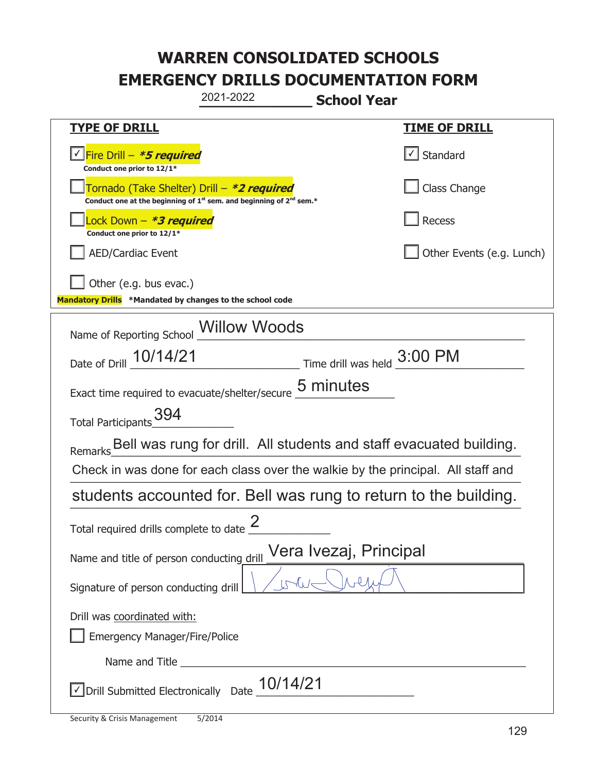| 2021-2022<br><b>School Year</b>                                                                                                           |                                   |
|-------------------------------------------------------------------------------------------------------------------------------------------|-----------------------------------|
| <b>TYPE OF DRILL</b>                                                                                                                      | <u>TIME OF DRILL</u>              |
| <u> √ Fire Drill – <i>*<b>5 required</b></i></u><br>Conduct one prior to 12/1*                                                            | $\lfloor \angle \rfloor$ Standard |
| Tornado (Take Shelter) Drill – *2 required<br>Conduct one at the beginning of 1 <sup>st</sup> sem. and beginning of 2 <sup>nd</sup> sem.* | Class Change                      |
| Lock Down – <b>*<i>3 required</i></b><br>Conduct one prior to 12/1*                                                                       | Recess                            |
| <b>AED/Cardiac Event</b>                                                                                                                  | Other Events (e.g. Lunch)         |
| Other (e.g. bus evac.)<br>Mandatory Drills *Mandated by changes to the school code                                                        |                                   |
| Name of Reporting School __ Willow Woods                                                                                                  |                                   |
| Date of Drill 10/14/21 Time drill was held 3:00 PM                                                                                        |                                   |
| Exact time required to evacuate/shelter/secure 5 minutes                                                                                  |                                   |
| Total Participants_394                                                                                                                    |                                   |
| Bell was rung for drill. All students and staff evacuated building.<br>Remarks                                                            |                                   |
| Check in was done for each class over the walkie by the principal. All staff and                                                          |                                   |
| students accounted for. Bell was rung to return to the building.                                                                          |                                   |
| Total required drills complete to date $\frac{2}{3}$                                                                                      |                                   |
| Vera Ivezaj, Principal<br>Name and title of person conducting drill                                                                       |                                   |
| Signature of person conducting drill                                                                                                      |                                   |
| Drill was coordinated with:<br><b>Emergency Manager/Fire/Police</b>                                                                       |                                   |
|                                                                                                                                           |                                   |
| $\vee$ Drill Submitted Electronically Date $\underline{10}/14/21$                                                                         |                                   |